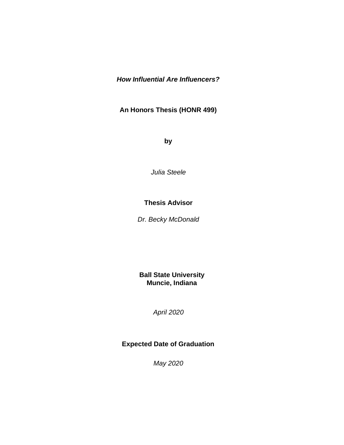## *How Influential Are Influencers?*

**An Honors Thesis (HONR 499)**

**by**

*Julia Steele*

### **Thesis Advisor**

*Dr. Becky McDonald*

**Ball State University Muncie, Indiana**

*April 2020*

# **Expected Date of Graduation**

*May 2020*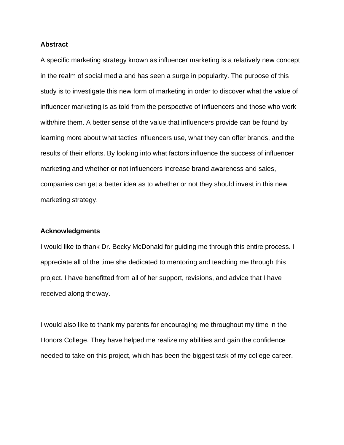#### **Abstract**

A specific marketing strategy known as influencer marketing is a relatively new concept in the realm of social media and has seen a surge in popularity. The purpose of this study is to investigate this new form of marketing in order to discover what the value of influencer marketing is as told from the perspective of influencers and those who work with/hire them. A better sense of the value that influencers provide can be found by learning more about what tactics influencers use, what they can offer brands, and the results of their efforts. By looking into what factors influence the success of influencer marketing and whether or not influencers increase brand awareness and sales, companies can get a better idea as to whether or not they should invest in this new marketing strategy.

#### **Acknowledgments**

I would like to thank Dr. Becky McDonald for guiding me through this entire process. I appreciate all of the time she dedicated to mentoring and teaching me through this project. I have benefitted from all of her support, revisions, and advice that I have received along theway.

I would also like to thank my parents for encouraging me throughout my time in the Honors College. They have helped me realize my abilities and gain the confidence needed to take on this project, which has been the biggest task of my college career.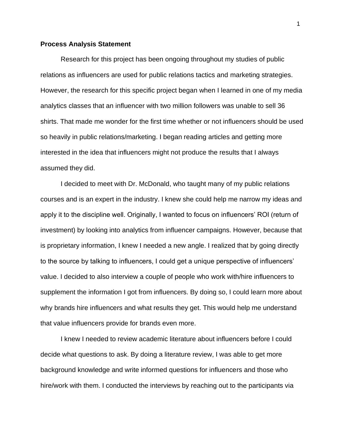#### **Process Analysis Statement**

Research for this project has been ongoing throughout my studies of public relations as influencers are used for public relations tactics and marketing strategies. However, the research for this specific project began when I learned in one of my media analytics classes that an influencer with two million followers was unable to sell 36 shirts. That made me wonder for the first time whether or not influencers should be used so heavily in public relations/marketing. I began reading articles and getting more interested in the idea that influencers might not produce the results that I always assumed they did.

I decided to meet with Dr. McDonald, who taught many of my public relations courses and is an expert in the industry. I knew she could help me narrow my ideas and apply it to the discipline well. Originally, I wanted to focus on influencers' ROI (return of investment) by looking into analytics from influencer campaigns. However, because that is proprietary information, I knew I needed a new angle. I realized that by going directly to the source by talking to influencers, I could get a unique perspective of influencers' value. I decided to also interview a couple of people who work with/hire influencers to supplement the information I got from influencers. By doing so, I could learn more about why brands hire influencers and what results they get. This would help me understand that value influencers provide for brands even more.

I knew I needed to review academic literature about influencers before I could decide what questions to ask. By doing a literature review, I was able to get more background knowledge and write informed questions for influencers and those who hire/work with them. I conducted the interviews by reaching out to the participants via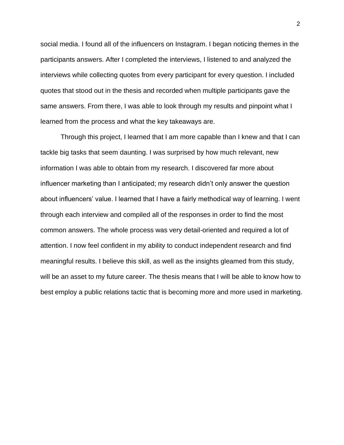social media. I found all of the influencers on Instagram. I began noticing themes in the participants answers. After I completed the interviews, I listened to and analyzed the interviews while collecting quotes from every participant for every question. I included quotes that stood out in the thesis and recorded when multiple participants gave the same answers. From there, I was able to look through my results and pinpoint what I learned from the process and what the key takeaways are.

Through this project, I learned that I am more capable than I knew and that I can tackle big tasks that seem daunting. I was surprised by how much relevant, new information I was able to obtain from my research. I discovered far more about influencer marketing than I anticipated; my research didn't only answer the question about influencers' value. I learned that I have a fairly methodical way of learning. I went through each interview and compiled all of the responses in order to find the most common answers. The whole process was very detail-oriented and required a lot of attention. I now feel confident in my ability to conduct independent research and find meaningful results. I believe this skill, as well as the insights gleamed from this study, will be an asset to my future career. The thesis means that I will be able to know how to best employ a public relations tactic that is becoming more and more used in marketing.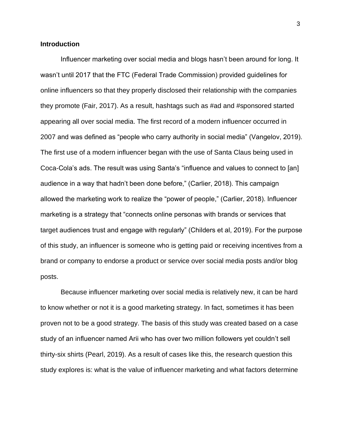#### **Introduction**

Influencer marketing over social media and blogs hasn't been around for long. It wasn't until 2017 that the FTC (Federal Trade Commission) provided guidelines for online influencers so that they properly disclosed their relationship with the companies they promote (Fair, 2017). As a result, hashtags such as #ad and #sponsored started appearing all over social media. The first record of a modern influencer occurred in 2007 and was defined as "people who carry authority in social media" (Vangelov, 2019). The first use of a modern influencer began with the use of Santa Claus being used in Coca-Cola's ads. The result was using Santa's "influence and values to connect to [an] audience in a way that hadn't been done before," (Carlier, 2018). This campaign allowed the marketing work to realize the "power of people," (Carlier, 2018). Influencer marketing is a strategy that "connects online personas with brands or services that target audiences trust and engage with regularly" (Childers et al, 2019). For the purpose of this study, an influencer is someone who is getting paid or receiving incentives from a brand or company to endorse a product or service over social media posts and/or blog posts.

Because influencer marketing over social media is relatively new, it can be hard to know whether or not it is a good marketing strategy. In fact, sometimes it has been proven not to be a good strategy. The basis of this study was created based on a case study of an influencer named Arii who has over two million followers yet couldn't sell thirty-six shirts (Pearl, 2019). As a result of cases like this, the research question this study explores is: what is the value of influencer marketing and what factors determine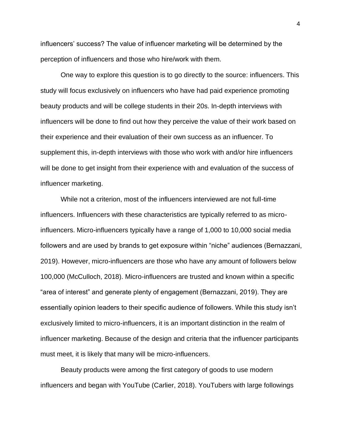influencers' success? The value of influencer marketing will be determined by the perception of influencers and those who hire/work with them.

One way to explore this question is to go directly to the source: influencers. This study will focus exclusively on influencers who have had paid experience promoting beauty products and will be college students in their 20s. In-depth interviews with influencers will be done to find out how they perceive the value of their work based on their experience and their evaluation of their own success as an influencer. To supplement this, in-depth interviews with those who work with and/or hire influencers will be done to get insight from their experience with and evaluation of the success of influencer marketing.

While not a criterion, most of the influencers interviewed are not full-time influencers. Influencers with these characteristics are typically referred to as microinfluencers. Micro-influencers typically have a range of 1,000 to 10,000 social media followers and are used by brands to get exposure within "niche" audiences (Bernazzani, 2019). However, micro-influencers are those who have any amount of followers below 100,000 (McCulloch, 2018). Micro-influencers are trusted and known within a specific "area of interest" and generate plenty of engagement (Bernazzani, 2019). They are essentially opinion leaders to their specific audience of followers. While this study isn't exclusively limited to micro-influencers, it is an important distinction in the realm of influencer marketing. Because of the design and criteria that the influencer participants must meet, it is likely that many will be micro-influencers.

Beauty products were among the first category of goods to use modern influencers and began with YouTube (Carlier, 2018). YouTubers with large followings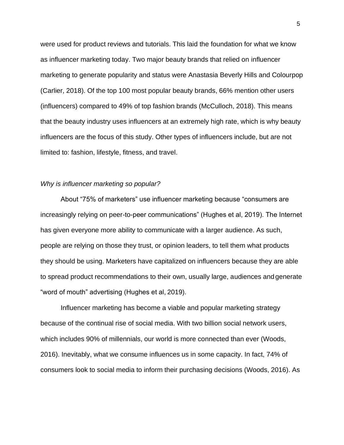were used for product reviews and tutorials. This laid the foundation for what we know as influencer marketing today. Two major beauty brands that relied on influencer marketing to generate popularity and status were Anastasia Beverly Hills and Colourpop (Carlier, 2018). Of the top 100 most popular beauty brands, 66% mention other users (influencers) compared to 49% of top fashion brands (McCulloch, 2018). This means that the beauty industry uses influencers at an extremely high rate, which is why beauty influencers are the focus of this study. Other types of influencers include, but are not limited to: fashion, lifestyle, fitness, and travel.

#### *Why is influencer marketing so popular?*

About "75% of marketers" use influencer marketing because "consumers are increasingly relying on peer-to-peer communications" (Hughes et al, 2019). The Internet has given everyone more ability to communicate with a larger audience. As such, people are relying on those they trust, or opinion leaders, to tell them what products they should be using. Marketers have capitalized on influencers because they are able to spread product recommendations to their own, usually large, audiences andgenerate "word of mouth" advertising (Hughes et al, 2019).

Influencer marketing has become a viable and popular marketing strategy because of the continual rise of social media. With two billion social network users, which includes 90% of millennials, our world is more connected than ever (Woods, 2016). Inevitably, what we consume influences us in some capacity. In fact, 74% of consumers look to social media to inform their purchasing decisions (Woods, 2016). As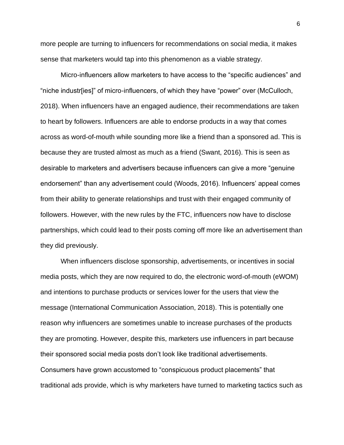more people are turning to influencers for recommendations on social media, it makes sense that marketers would tap into this phenomenon as a viable strategy.

Micro-influencers allow marketers to have access to the "specific audiences" and "niche industr[ies]" of micro-influencers, of which they have "power" over (McCulloch, 2018). When influencers have an engaged audience, their recommendations are taken to heart by followers. Influencers are able to endorse products in a way that comes across as word-of-mouth while sounding more like a friend than a sponsored ad. This is because they are trusted almost as much as a friend (Swant, 2016). This is seen as desirable to marketers and advertisers because influencers can give a more "genuine endorsement" than any advertisement could (Woods, 2016). Influencers' appeal comes from their ability to generate relationships and trust with their engaged community of followers. However, with the new rules by the FTC, influencers now have to disclose partnerships, which could lead to their posts coming off more like an advertisement than they did previously.

When influencers disclose sponsorship, advertisements, or incentives in social media posts, which they are now required to do, the electronic word-of-mouth (eWOM) and intentions to purchase products or services lower for the users that view the message (International Communication Association, 2018). This is potentially one reason why influencers are sometimes unable to increase purchases of the products they are promoting. However, despite this, marketers use influencers in part because their sponsored social media posts don't look like traditional advertisements. Consumers have grown accustomed to "conspicuous product placements" that traditional ads provide, which is why marketers have turned to marketing tactics such as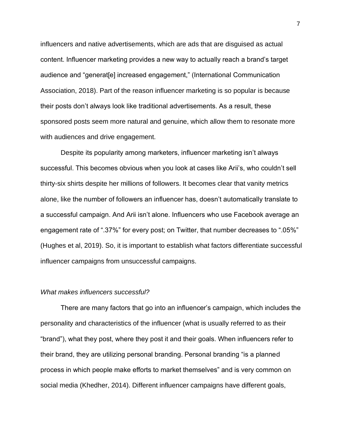influencers and native advertisements, which are ads that are disguised as actual content. Influencer marketing provides a new way to actually reach a brand's target audience and "generat[e] increased engagement," (International Communication Association, 2018). Part of the reason influencer marketing is so popular is because their posts don't always look like traditional advertisements. As a result, these sponsored posts seem more natural and genuine, which allow them to resonate more with audiences and drive engagement.

Despite its popularity among marketers, influencer marketing isn't always successful. This becomes obvious when you look at cases like Arii's, who couldn't sell thirty-six shirts despite her millions of followers. It becomes clear that vanity metrics alone, like the number of followers an influencer has, doesn't automatically translate to a successful campaign. And Arii isn't alone. Influencers who use Facebook average an engagement rate of ".37%" for every post; on Twitter, that number decreases to ".05%" (Hughes et al, 2019). So, it is important to establish what factors differentiate successful influencer campaigns from unsuccessful campaigns.

#### *What makes influencers successful?*

There are many factors that go into an influencer's campaign, which includes the personality and characteristics of the influencer (what is usually referred to as their "brand"), what they post, where they post it and their goals. When influencers refer to their brand, they are utilizing personal branding. Personal branding "is a planned process in which people make efforts to market themselves" and is very common on social media (Khedher, 2014). Different influencer campaigns have different goals,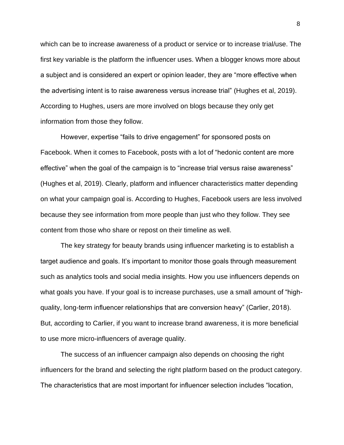which can be to increase awareness of a product or service or to increase trial/use. The first key variable is the platform the influencer uses. When a blogger knows more about a subject and is considered an expert or opinion leader, they are "more effective when the advertising intent is to raise awareness versus increase trial" (Hughes et al, 2019). According to Hughes, users are more involved on blogs because they only get information from those they follow.

However, expertise "fails to drive engagement" for sponsored posts on Facebook. When it comes to Facebook, posts with a lot of "hedonic content are more effective" when the goal of the campaign is to "increase trial versus raise awareness" (Hughes et al, 2019). Clearly, platform and influencer characteristics matter depending on what your campaign goal is. According to Hughes, Facebook users are less involved because they see information from more people than just who they follow. They see content from those who share or repost on their timeline as well.

The key strategy for beauty brands using influencer marketing is to establish a target audience and goals. It's important to monitor those goals through measurement such as analytics tools and social media insights. How you use influencers depends on what goals you have. If your goal is to increase purchases, use a small amount of "highquality, long-term influencer relationships that are conversion heavy" (Carlier, 2018). But, according to Carlier, if you want to increase brand awareness, it is more beneficial to use more micro-influencers of average quality.

The success of an influencer campaign also depends on choosing the right influencers for the brand and selecting the right platform based on the product category. The characteristics that are most important for influencer selection includes "location,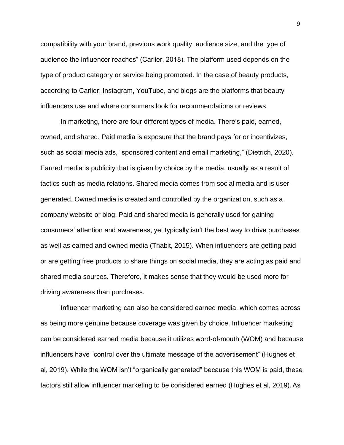compatibility with your brand, previous work quality, audience size, and the type of audience the influencer reaches" (Carlier, 2018). The platform used depends on the type of product category or service being promoted. In the case of beauty products, according to Carlier, Instagram, YouTube, and blogs are the platforms that beauty influencers use and where consumers look for recommendations or reviews.

In marketing, there are four different types of media. There's paid, earned, owned, and shared. Paid media is exposure that the brand pays for or incentivizes, such as social media ads, "sponsored content and email marketing," (Dietrich, 2020). Earned media is publicity that is given by choice by the media, usually as a result of tactics such as media relations. Shared media comes from social media and is usergenerated. Owned media is created and controlled by the organization, such as a company website or blog. Paid and shared media is generally used for gaining consumers' attention and awareness, yet typically isn't the best way to drive purchases as well as earned and owned media (Thabit, 2015). When influencers are getting paid or are getting free products to share things on social media, they are acting as paid and shared media sources. Therefore, it makes sense that they would be used more for driving awareness than purchases.

Influencer marketing can also be considered earned media, which comes across as being more genuine because coverage was given by choice. Influencer marketing can be considered earned media because it utilizes word-of-mouth (WOM) and because influencers have "control over the ultimate message of the advertisement" (Hughes et al, 2019). While the WOM isn't "organically generated" because this WOM is paid, these factors still allow influencer marketing to be considered earned (Hughes et al, 2019).As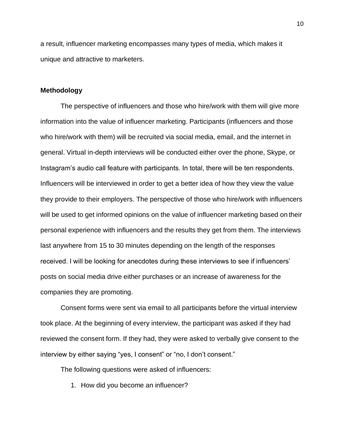a result, influencer marketing encompasses many types of media, which makes it unique and attractive to marketers.

#### **Methodology**

The perspective of influencers and those who hire/work with them will give more information into the value of influencer marketing. Participants (influencers and those who hire/work with them) will be recruited via social media, email, and the internet in general. Virtual in-depth interviews will be conducted either over the phone, Skype, or Instagram's audio call feature with participants. In total, there will be ten respondents. Influencers will be interviewed in order to get a better idea of how they view the value they provide to their employers. The perspective of those who hire/work with influencers will be used to get informed opinions on the value of influencer marketing based on their personal experience with influencers and the results they get from them. The interviews last anywhere from 15 to 30 minutes depending on the length of the responses received. I will be looking for anecdotes during these interviews to see if influencers' posts on social media drive either purchases or an increase of awareness for the companies they are promoting.

Consent forms were sent via email to all participants before the virtual interview took place. At the beginning of every interview, the participant was asked if they had reviewed the consent form. If they had, they were asked to verbally give consent to the interview by either saying "yes, I consent" or "no, I don't consent."

The following questions were asked of influencers:

1. How did you become an influencer?

10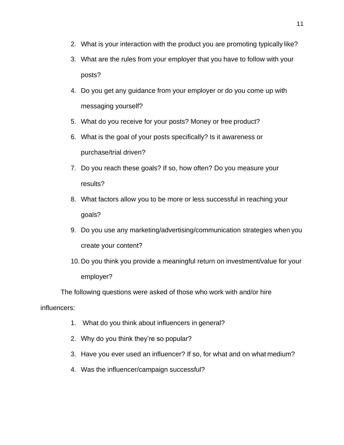- 2. What is your interaction with the product you are promoting typically like?
- 3. What are the rules from your employer that you have to follow with your posts?
- 4. Do you get any guidance from your employer or do you come up with messaging yourself?
- 5. What do you receive for your posts? Money or free product?
- 6. What is the goal of your posts specifically? Is it awareness or purchase/trial driven?
- 7. Do you reach these goals? If so, how often? Do you measure your results?
- 8. What factors allow you to be more or less successful in reaching your goals?
- 9. Do you use any marketing/advertising/communication strategies when you create your content?
- 10. Do you think you provide a meaningful return on investment/value for your employer?

The following questions were asked of those who work with and/or hire

influencers:

- 1. What do you think about influencers in general?
- 2. Why do you think they're so popular?
- 3. Have you ever used an influencer? If so, for what and on what medium?
- 4. Was the influencer/campaign successful?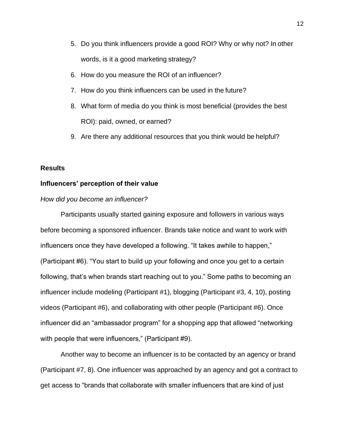- 5. Do you think influencers provide a good ROI? Why or why not? In other words, is it a good marketing strategy?
- 6. How do you measure the ROI of an influencer?
- 7. How do you think influencers can be used in the future?
- 8. What form of media do you think is most beneficial (provides the best ROI): paid, owned, or earned?
- 9. Are there any additional resources that you think would be helpful?

#### **Results**

#### **Influencers' perception of their value**

#### *How did you become an influencer?*

Participants usually started gaining exposure and followers in various ways before becoming a sponsored influencer. Brands take notice and want to work with influencers once they have developed a following. "It takes awhile to happen," (Participant #6). "You start to build up your following and once you get to a certain following, that's when brands start reaching out to you." Some paths to becoming an influencer include modeling (Participant #1), blogging (Participant #3, 4, 10), posting videos (Participant #6), and collaborating with other people (Participant #6). Once influencer did an "ambassador program" for a shopping app that allowed "networking with people that were influencers," (Participant #9).

Another way to become an influencer is to be contacted by an agency or brand (Participant #7, 8). One influencer was approached by an agency and got a contract to get access to "brands that collaborate with smaller influencers that are kind of just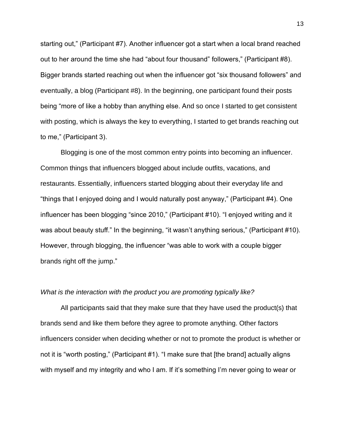starting out," (Participant #7). Another influencer got a start when a local brand reached out to her around the time she had "about four thousand" followers," (Participant #8). Bigger brands started reaching out when the influencer got "six thousand followers" and eventually, a blog (Participant #8). In the beginning, one participant found their posts being "more of like a hobby than anything else. And so once I started to get consistent with posting, which is always the key to everything, I started to get brands reaching out to me," (Participant 3).

Blogging is one of the most common entry points into becoming an influencer. Common things that influencers blogged about include outfits, vacations, and restaurants. Essentially, influencers started blogging about their everyday life and "things that I enjoyed doing and I would naturally post anyway," (Participant #4). One influencer has been blogging "since 2010," (Participant #10). "I enjoyed writing and it was about beauty stuff." In the beginning, "it wasn't anything serious," (Participant #10). However, through blogging, the influencer "was able to work with a couple bigger brands right off the jump."

#### *What is the interaction with the product you are promoting typically like?*

All participants said that they make sure that they have used the product(s) that brands send and like them before they agree to promote anything. Other factors influencers consider when deciding whether or not to promote the product is whether or not it is "worth posting," (Participant #1). "I make sure that [the brand] actually aligns with myself and my integrity and who I am. If it's something I'm never going to wear or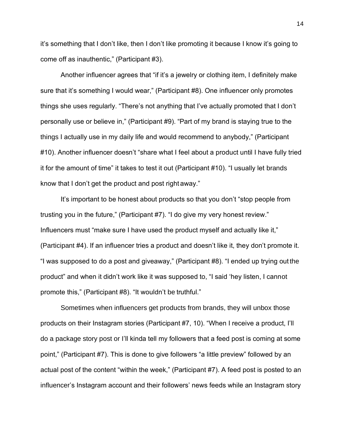it's something that I don't like, then I don't like promoting it because I know it's going to come off as inauthentic," (Participant #3).

Another influencer agrees that "if it's a jewelry or clothing item, I definitely make sure that it's something I would wear," (Participant #8). One influencer only promotes things she uses regularly. "There's not anything that I've actually promoted that I don't personally use or believe in," (Participant #9). "Part of my brand is staying true to the things I actually use in my daily life and would recommend to anybody," (Participant #10). Another influencer doesn't "share what I feel about a product until I have fully tried it for the amount of time" it takes to test it out (Participant #10). "I usually let brands know that I don't get the product and post right away."

It's important to be honest about products so that you don't "stop people from trusting you in the future," (Participant #7). "I do give my very honest review." Influencers must "make sure I have used the product myself and actually like it," (Participant #4). If an influencer tries a product and doesn't like it, they don't promote it. "I was supposed to do a post and giveaway," (Participant #8). "I ended up trying out the product" and when it didn't work like it was supposed to, "I said 'hey listen, I cannot promote this," (Participant #8). "It wouldn't be truthful."

Sometimes when influencers get products from brands, they will unbox those products on their Instagram stories (Participant #7, 10). "When I receive a product, I'll do a package story post or I'll kinda tell my followers that a feed post is coming at some point," (Participant #7). This is done to give followers "a little preview" followed by an actual post of the content "within the week," (Participant #7). A feed post is posted to an influencer's Instagram account and their followers' news feeds while an Instagram story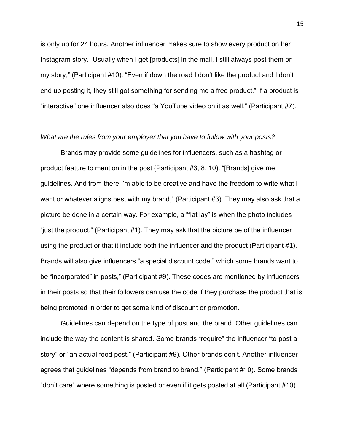is only up for 24 hours. Another influencer makes sure to show every product on her Instagram story. "Usually when I get [products] in the mail, I still always post them on my story," (Participant #10). "Even if down the road I don't like the product and I don't end up posting it, they still got something for sending me a free product." If a product is "interactive" one influencer also does "a YouTube video on it as well," (Participant #7).

#### *What are the rules from your employer that you have to follow with your posts?*

Brands may provide some guidelines for influencers, such as a hashtag or product feature to mention in the post (Participant #3, 8, 10). "[Brands] give me guidelines. And from there I'm able to be creative and have the freedom to write what I want or whatever aligns best with my brand," (Participant #3). They may also ask that a picture be done in a certain way. For example, a "flat lay" is when the photo includes "just the product," (Participant #1). They may ask that the picture be of the influencer using the product or that it include both the influencer and the product (Participant #1). Brands will also give influencers "a special discount code," which some brands want to be "incorporated" in posts," (Participant #9). These codes are mentioned by influencers in their posts so that their followers can use the code if they purchase the product that is being promoted in order to get some kind of discount or promotion.

Guidelines can depend on the type of post and the brand. Other guidelines can include the way the content is shared. Some brands "require" the influencer "to post a story" or "an actual feed post," (Participant #9). Other brands don't. Another influencer agrees that guidelines "depends from brand to brand," (Participant #10). Some brands "don't care" where something is posted or even if it gets posted at all (Participant #10).

15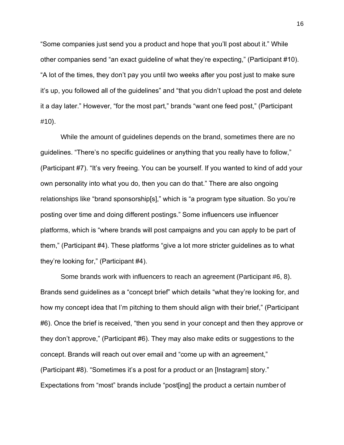"Some companies just send you a product and hope that you'll post about it." While other companies send "an exact guideline of what they're expecting," (Participant #10). "A lot of the times, they don't pay you until two weeks after you post just to make sure it's up, you followed all of the guidelines" and "that you didn't upload the post and delete it a day later." However, "for the most part," brands "want one feed post," (Participant #10).

While the amount of guidelines depends on the brand, sometimes there are no guidelines. "There's no specific guidelines or anything that you really have to follow," (Participant #7). "It's very freeing. You can be yourself. If you wanted to kind of add your own personality into what you do, then you can do that." There are also ongoing relationships like "brand sponsorship[s]," which is "a program type situation. So you're posting over time and doing different postings." Some influencers use influencer platforms, which is "where brands will post campaigns and you can apply to be part of them," (Participant #4). These platforms "give a lot more stricter guidelines as to what they're looking for," (Participant #4).

Some brands work with influencers to reach an agreement (Participant #6, 8). Brands send guidelines as a "concept brief" which details "what they're looking for, and how my concept idea that I'm pitching to them should align with their brief," (Participant #6). Once the brief is received, "then you send in your concept and then they approve or they don't approve," (Participant #6). They may also make edits or suggestions to the concept. Brands will reach out over email and "come up with an agreement," (Participant #8). "Sometimes it's a post for a product or an [Instagram] story." Expectations from "most" brands include "post[ing] the product a certain number of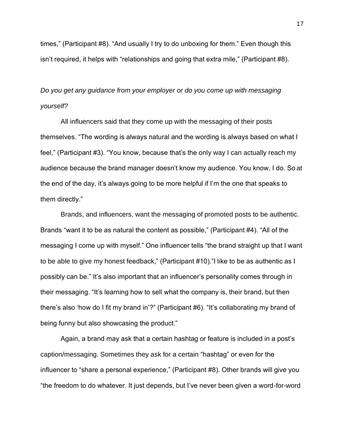times," (Participant #8). "And usually I try to do unboxing for them." Even though this isn't required, it helps with "relationships and going that extra mile," (Participant #8).

# *Do you get any guidance from your employer or do you come up with messaging yourself?*

All influencers said that they come up with the messaging of their posts themselves. "The wording is always natural and the wording is always based on what I feel," (Participant #3). "You know, because that's the only way I can actually reach my audience because the brand manager doesn't know my audience. You know, I do. So at the end of the day, it's always going to be more helpful if I'm the one that speaks to them directly."

Brands, and influencers, want the messaging of promoted posts to be authentic. Brands "want it to be as natural the content as possible," (Participant #4). "All of the messaging I come up with myself." One influencer tells "the brand straight up that I want to be able to give my honest feedback," (Participant #10)."I like to be as authentic as I possibly can be." It's also important that an influencer's personality comes through in their messaging. "It's learning how to sell what the company is, their brand, but then there's also 'how do I fit my brand in'?" (Participant #6). "It's collaborating my brand of being funny but also showcasing the product."

Again, a brand may ask that a certain hashtag or feature is included in a post's caption/messaging. Sometimes they ask for a certain "hashtag" or even for the influencer to "share a personal experience," (Participant #8). Other brands will give you "the freedom to do whatever. It just depends, but I've never been given a word-for-word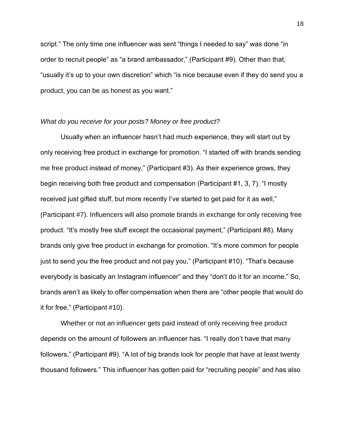script." The only time one influencer was sent "things I needed to say" was done "in order to recruit people" as "a brand ambassador," (Participant #9). Other than that, "usually it's up to your own discretion" which "is nice because even if they do send you a product, you can be as honest as you want."

#### *What do you receive for your posts? Money or free product?*

Usually when an influencer hasn't had much experience, they will start out by only receiving free product in exchange for promotion. "I started off with brands sending me free product instead of money," (Participant #3). As their experience grows, they begin receiving both free product and compensation (Participant #1, 3, 7). "I mostly received just gifted stuff, but more recently I've started to get paid for it as well," (Participant #7). Influencers will also promote brands in exchange for only receiving free product. "It's mostly free stuff except the occasional payment," (Participant #8). Many brands only give free product in exchange for promotion. "It's more common for people just to send you the free product and not pay you," (Participant #10). "That's because everybody is basically an Instagram influencer" and they "don't do it for an income." So, brands aren't as likely to offer compensation when there are "other people that would do it for free," (Participant #10).

Whether or not an influencer gets paid instead of only receiving free product depends on the amount of followers an influencer has. "I really don't have that many followers," (Participant #9). "A lot of big brands look for people that have at least twenty thousand followers." This influencer has gotten paid for "recruiting people" and has also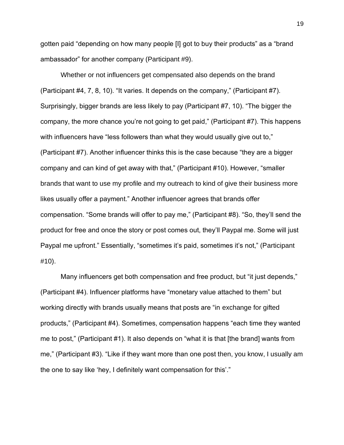gotten paid "depending on how many people [I] got to buy their products" as a "brand ambassador" for another company (Participant #9).

Whether or not influencers get compensated also depends on the brand (Participant #4, 7, 8, 10). "It varies. It depends on the company," (Participant #7). Surprisingly, bigger brands are less likely to pay (Participant #7, 10). "The bigger the company, the more chance you're not going to get paid," (Participant #7). This happens with influencers have "less followers than what they would usually give out to," (Participant #7). Another influencer thinks this is the case because "they are a bigger company and can kind of get away with that," (Participant #10). However, "smaller brands that want to use my profile and my outreach to kind of give their business more likes usually offer a payment." Another influencer agrees that brands offer compensation. "Some brands will offer to pay me," (Participant #8). "So, they'll send the product for free and once the story or post comes out, they'll Paypal me. Some will just Paypal me upfront." Essentially, "sometimes it's paid, sometimes it's not," (Participant #10).

Many influencers get both compensation and free product, but "it just depends," (Participant #4). Influencer platforms have "monetary value attached to them" but working directly with brands usually means that posts are "in exchange for gifted products," (Participant #4). Sometimes, compensation happens "each time they wanted me to post," (Participant #1). It also depends on "what it is that [the brand] wants from me," (Participant #3). "Like if they want more than one post then, you know, I usually am the one to say like 'hey, I definitely want compensation for this'."

19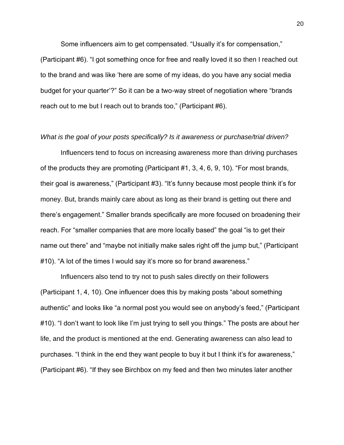Some influencers aim to get compensated. "Usually it's for compensation," (Participant #6). "I got something once for free and really loved it so then I reached out to the brand and was like 'here are some of my ideas, do you have any social media budget for your quarter'?" So it can be a two-way street of negotiation where "brands reach out to me but I reach out to brands too," (Participant #6).

#### *What is the goal of your posts specifically? Is it awareness or purchase/trial driven?*

Influencers tend to focus on increasing awareness more than driving purchases of the products they are promoting (Participant #1, 3, 4, 6, 9, 10). "For most brands, their goal is awareness," (Participant #3). "It's funny because most people think it's for money. But, brands mainly care about as long as their brand is getting out there and there's engagement." Smaller brands specifically are more focused on broadening their reach. For "smaller companies that are more locally based" the goal "is to get their name out there" and "maybe not initially make sales right off the jump but," (Participant #10). "A lot of the times I would say it's more so for brand awareness."

Influencers also tend to try not to push sales directly on their followers (Participant 1, 4, 10). One influencer does this by making posts "about something authentic" and looks like "a normal post you would see on anybody's feed," (Participant #10). "I don't want to look like I'm just trying to sell you things." The posts are about her life, and the product is mentioned at the end. Generating awareness can also lead to purchases. "I think in the end they want people to buy it but I think it's for awareness," (Participant #6). "If they see Birchbox on my feed and then two minutes later another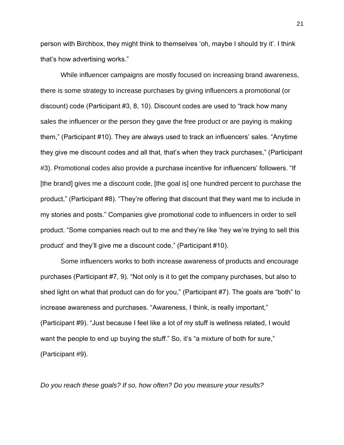person with Birchbox, they might think to themselves 'oh, maybe I should try it'. I think that's how advertising works."

While influencer campaigns are mostly focused on increasing brand awareness, there is some strategy to increase purchases by giving influencers a promotional (or discount) code (Participant #3, 8, 10). Discount codes are used to "track how many sales the influencer or the person they gave the free product or are paying is making them," (Participant #10). They are always used to track an influencers' sales. "Anytime they give me discount codes and all that, that's when they track purchases," (Participant #3). Promotional codes also provide a purchase incentive for influencers' followers. "If [the brand] gives me a discount code, [the goal is] one hundred percent to purchase the product," (Participant #8). "They're offering that discount that they want me to include in my stories and posts." Companies give promotional code to influencers in order to sell product. "Some companies reach out to me and they're like 'hey we're trying to sell this product' and they'll give me a discount code," (Participant #10).

Some influencers works to both increase awareness of products and encourage purchases (Participant #7, 9). "Not only is it to get the company purchases, but also to shed light on what that product can do for you," (Participant #7). The goals are "both" to increase awareness and purchases. "Awareness, I think, is really important," (Participant #9). "Just because I feel like a lot of my stuff is wellness related, I would want the people to end up buying the stuff." So, it's "a mixture of both for sure," (Participant #9).

*Do you reach these goals? If so, how often? Do you measure your results?*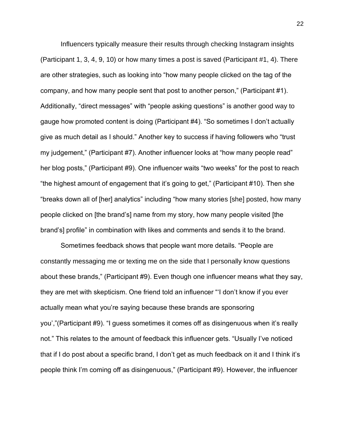Influencers typically measure their results through checking Instagram insights (Participant 1, 3, 4, 9, 10) or how many times a post is saved (Participant #1, 4). There are other strategies, such as looking into "how many people clicked on the tag of the company, and how many people sent that post to another person," (Participant #1). Additionally, "direct messages" with "people asking questions" is another good way to gauge how promoted content is doing (Participant #4). "So sometimes I don't actually give as much detail as I should." Another key to success if having followers who "trust my judgement," (Participant #7). Another influencer looks at "how many people read" her blog posts," (Participant #9). One influencer waits "two weeks" for the post to reach "the highest amount of engagement that it's going to get," (Participant #10). Then she "breaks down all of [her] analytics" including "how many stories [she] posted, how many people clicked on [the brand's] name from my story, how many people visited [the brand's] profile" in combination with likes and comments and sends it to the brand.

Sometimes feedback shows that people want more details. "People are constantly messaging me or texting me on the side that I personally know questions about these brands," (Participant #9). Even though one influencer means what they say, they are met with skepticism. One friend told an influencer "'I don't know if you ever actually mean what you're saying because these brands are sponsoring you',"(Participant #9). "I guess sometimes it comes off as disingenuous when it's really not." This relates to the amount of feedback this influencer gets. "Usually I've noticed that if I do post about a specific brand, I don't get as much feedback on it and I think it's people think I'm coming off as disingenuous," (Participant #9). However, the influencer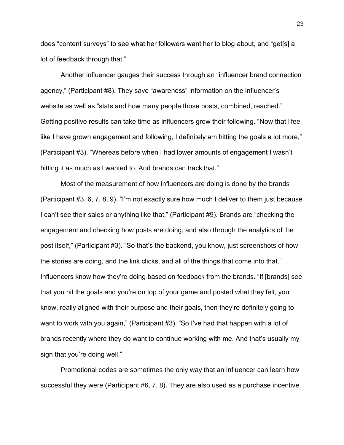does "content surveys" to see what her followers want her to blog about, and "get[s] a lot of feedback through that."

Another influencer gauges their success through an "influencer brand connection agency," (Participant #8). They save "awareness" information on the influencer's website as well as "stats and how many people those posts, combined, reached." Getting positive results can take time as influencers grow their following. "Now that I feel like I have grown engagement and following, I definitely am hitting the goals a lot more," (Participant #3). "Whereas before when I had lower amounts of engagement I wasn't hitting it as much as I wanted to. And brands can track that."

Most of the measurement of how influencers are doing is done by the brands (Participant #3, 6, 7, 8, 9). "I'm not exactly sure how much I deliver to them just because I can't see their sales or anything like that," (Participant #9). Brands are "checking the engagement and checking how posts are doing, and also through the analytics of the post itself," (Participant #3). "So that's the backend, you know, just screenshots of how the stories are doing, and the link clicks, and all of the things that come into that." Influencers know how they're doing based on feedback from the brands. "If [brands] see that you hit the goals and you're on top of your game and posted what they felt, you know, really aligned with their purpose and their goals, then they're definitely going to want to work with you again," (Participant #3). "So I've had that happen with a lot of brands recently where they do want to continue working with me. And that's usually my sign that you're doing well."

Promotional codes are sometimes the only way that an influencer can learn how successful they were (Participant #6, 7, 8). They are also used as a purchase incentive.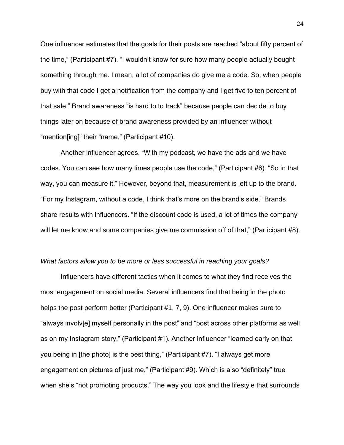One influencer estimates that the goals for their posts are reached "about fifty percent of the time," (Participant #7). "I wouldn't know for sure how many people actually bought something through me. I mean, a lot of companies do give me a code. So, when people buy with that code I get a notification from the company and I get five to ten percent of that sale." Brand awareness "is hard to to track" because people can decide to buy things later on because of brand awareness provided by an influencer without "mention[ing]" their "name," (Participant #10).

Another influencer agrees. "With my podcast, we have the ads and we have codes. You can see how many times people use the code," (Participant #6). "So in that way, you can measure it." However, beyond that, measurement is left up to the brand. "For my Instagram, without a code, I think that's more on the brand's side." Brands share results with influencers. "If the discount code is used, a lot of times the company will let me know and some companies give me commission off of that," (Participant #8).

#### *What factors allow you to be more or less successful in reaching your goals?*

Influencers have different tactics when it comes to what they find receives the most engagement on social media. Several influencers find that being in the photo helps the post perform better (Participant #1, 7, 9). One influencer makes sure to "always involv[e] myself personally in the post" and "post across other platforms as well as on my Instagram story," (Participant #1). Another influencer "learned early on that you being in [the photo] is the best thing," (Participant #7). "I always get more engagement on pictures of just me," (Participant #9). Which is also "definitely" true when she's "not promoting products." The way you look and the lifestyle that surrounds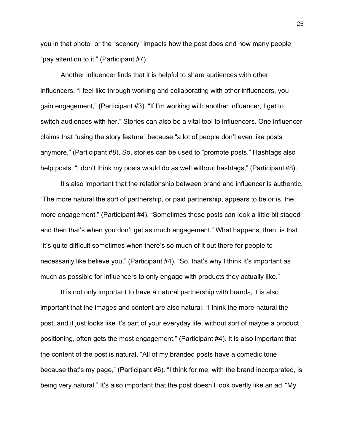you in that photo" or the "scenery" impacts how the post does and how many people "pay attention to it," (Participant #7).

Another influencer finds that it is helpful to share audiences with other influencers. "I feel like through working and collaborating with other influencers, you gain engagement," (Participant #3). "If I'm working with another influencer, I get to switch audiences with her." Stories can also be a vital tool to influencers. One influencer claims that "using the story feature" because "a lot of people don't even like posts anymore," (Participant #8). So, stories can be used to "promote posts." Hashtags also help posts. "I don't think my posts would do as well without hashtags," (Participant #8).

It's also important that the relationship between brand and influencer is authentic. "The more natural the sort of partnership, or paid partnership, appears to be or is, the more engagement," (Participant #4). "Sometimes those posts can look a little bit staged and then that's when you don't get as much engagement." What happens, then, is that "it's quite difficult sometimes when there's so much of it out there for people to necessarily like believe you," (Participant #4). "So, that's why I think it's important as much as possible for influencers to only engage with products they actually like."

It is not only important to have a natural partnership with brands, it is also important that the images and content are also natural. "I think the more natural the post, and it just looks like it's part of your everyday life, without sort of maybe a product positioning, often gets the most engagement," (Participant #4). It is also important that the content of the post is natural. "All of my branded posts have a comedic tone because that's my page," (Participant #6). "I think for me, with the brand incorporated, is being very natural." It's also important that the post doesn't look overtly like an ad."My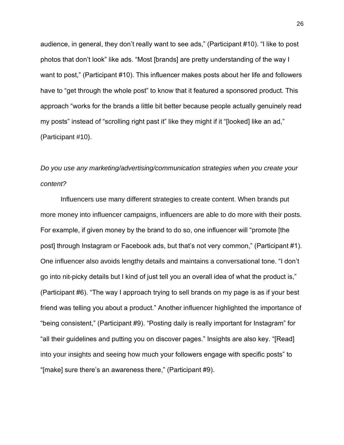audience, in general, they don't really want to see ads," (Participant #10). "I like to post photos that don't look" like ads. "Most [brands] are pretty understanding of the way I want to post," (Participant #10). This influencer makes posts about her life and followers have to "get through the whole post" to know that it featured a sponsored product. This approach "works for the brands a little bit better because people actually genuinely read my posts" instead of "scrolling right past it" like they might if it "[looked] like an ad," (Participant #10).

# *Do you use any marketing/advertising/communication strategies when you create your content?*

Influencers use many different strategies to create content. When brands put more money into influencer campaigns, influencers are able to do more with their posts. For example, if given money by the brand to do so, one influencer will "promote [the post] through Instagram or Facebook ads, but that's not very common," (Participant #1). One influencer also avoids lengthy details and maintains a conversational tone. "I don't go into nit-picky details but I kind of just tell you an overall idea of what the product is," (Participant #6). "The way I approach trying to sell brands on my page is as if your best friend was telling you about a product." Another influencer highlighted the importance of "being consistent," (Participant #9). "Posting daily is really important for Instagram" for "all their guidelines and putting you on discover pages." Insights are also key. "[Read] into your insights and seeing how much your followers engage with specific posts" to "[make] sure there's an awareness there," (Participant #9).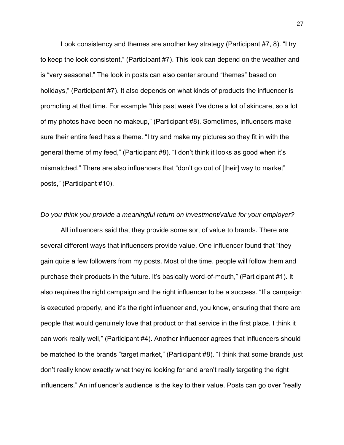Look consistency and themes are another key strategy (Participant #7, 8). "I try to keep the look consistent," (Participant #7). This look can depend on the weather and is "very seasonal." The look in posts can also center around "themes" based on holidays," (Participant #7). It also depends on what kinds of products the influencer is promoting at that time. For example "this past week I've done a lot of skincare, so a lot of my photos have been no makeup," (Participant #8). Sometimes, influencers make sure their entire feed has a theme. "I try and make my pictures so they fit in with the general theme of my feed," (Participant #8). "I don't think it looks as good when it's mismatched." There are also influencers that "don't go out of [their] way to market" posts," (Participant #10).

#### *Do you think you provide a meaningful return on investment/value for your employer?*

All influencers said that they provide some sort of value to brands. There are several different ways that influencers provide value. One influencer found that "they gain quite a few followers from my posts. Most of the time, people will follow them and purchase their products in the future. It's basically word-of-mouth," (Participant #1). It also requires the right campaign and the right influencer to be a success. "If a campaign is executed properly, and it's the right influencer and, you know, ensuring that there are people that would genuinely love that product or that service in the first place, I think it can work really well," (Participant #4). Another influencer agrees that influencers should be matched to the brands "target market," (Participant #8). "I think that some brands just don't really know exactly what they're looking for and aren't really targeting the right influencers." An influencer's audience is the key to their value. Posts can go over "really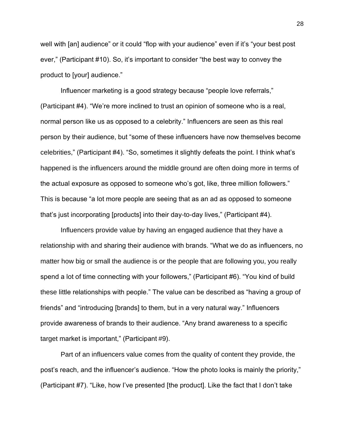well with [an] audience" or it could "flop with your audience" even if it's "your best post ever," (Participant #10). So, it's important to consider "the best way to convey the product to [your] audience."

Influencer marketing is a good strategy because "people love referrals," (Participant #4). "We're more inclined to trust an opinion of someone who is a real, normal person like us as opposed to a celebrity." Influencers are seen as this real person by their audience, but "some of these influencers have now themselves become celebrities," (Participant #4). "So, sometimes it slightly defeats the point. I think what's happened is the influencers around the middle ground are often doing more in terms of the actual exposure as opposed to someone who's got, like, three million followers." This is because "a lot more people are seeing that as an ad as opposed to someone that's just incorporating [products] into their day-to-day lives," (Participant #4).

Influencers provide value by having an engaged audience that they have a relationship with and sharing their audience with brands. "What we do as influencers, no matter how big or small the audience is or the people that are following you, you really spend a lot of time connecting with your followers," (Participant #6). "You kind of build these little relationships with people." The value can be described as "having a group of friends" and "introducing [brands] to them, but in a very natural way." Influencers provide awareness of brands to their audience. "Any brand awareness to a specific target market is important," (Participant #9).

Part of an influencers value comes from the quality of content they provide, the post's reach, and the influencer's audience. "How the photo looks is mainly the priority," (Participant #7). "Like, how I've presented [the product]. Like the fact that I don't take

28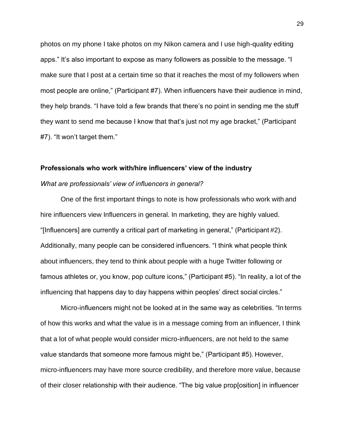photos on my phone I take photos on my Nikon camera and I use high-quality editing apps." It's also important to expose as many followers as possible to the message. "I make sure that I post at a certain time so that it reaches the most of my followers when most people are online," (Participant #7). When influencers have their audience in mind, they help brands. "I have told a few brands that there's no point in sending me the stuff they want to send me because I know that that's just not my age bracket," (Participant #7). "It won't target them."

#### **Professionals who work with/hire influencers' view of the industry**

#### *What are professionals' view of influencers in general?*

One of the first important things to note is how professionals who work with and hire influencers view Influencers in general. In marketing, they are highly valued. "[Influencers] are currently a critical part of marketing in general," (Participant #2). Additionally, many people can be considered influencers. "I think what people think about influencers, they tend to think about people with a huge Twitter following or famous athletes or, you know, pop culture icons," (Participant #5). "In reality, a lot of the influencing that happens day to day happens within peoples' direct social circles."

Micro-influencers might not be looked at in the same way as celebrities. "In terms of how this works and what the value is in a message coming from an influencer, I think that a lot of what people would consider micro-influencers, are not held to the same value standards that someone more famous might be," (Participant #5). However, micro-influencers may have more source credibility, and therefore more value, because of their closer relationship with their audience. "The big value prop[osition] in influencer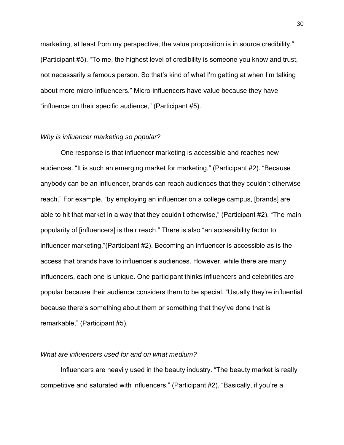marketing, at least from my perspective, the value proposition is in source credibility," (Participant #5). "To me, the highest level of credibility is someone you know and trust, not necessarily a famous person. So that's kind of what I'm getting at when I'm talking about more micro-influencers." Micro-influencers have value because they have "influence on their specific audience," (Participant #5).

#### *Why is influencer marketing so popular?*

One response is that influencer marketing is accessible and reaches new audiences. "It is such an emerging market for marketing," (Participant #2). "Because anybody can be an influencer, brands can reach audiences that they couldn't otherwise reach." For example, "by employing an influencer on a college campus, [brands] are able to hit that market in a way that they couldn't otherwise," (Participant #2). "The main popularity of [influencers] is their reach." There is also "an accessibility factor to influencer marketing,"(Participant #2). Becoming an influencer is accessible as is the access that brands have to influencer's audiences. However, while there are many influencers, each one is unique. One participant thinks influencers and celebrities are popular because their audience considers them to be special. "Usually they're influential because there's something about them or something that they've done that is remarkable," (Participant #5).

### *What are influencers used for and on what medium?*

Influencers are heavily used in the beauty industry. "The beauty market is really competitive and saturated with influencers," (Participant #2). "Basically, if you're a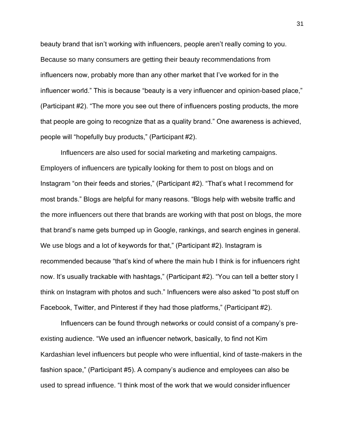beauty brand that isn't working with influencers, people aren't really coming to you. Because so many consumers are getting their beauty recommendations from influencers now, probably more than any other market that I've worked for in the influencer world." This is because "beauty is a very influencer and opinion-based place," (Participant #2). "The more you see out there of influencers posting products, the more that people are going to recognize that as a quality brand." One awareness is achieved, people will "hopefully buy products," (Participant #2).

Influencers are also used for social marketing and marketing campaigns. Employers of influencers are typically looking for them to post on blogs and on Instagram "on their feeds and stories," (Participant #2). "That's what I recommend for most brands." Blogs are helpful for many reasons. "Blogs help with website traffic and the more influencers out there that brands are working with that post on blogs, the more that brand's name gets bumped up in Google, rankings, and search engines in general. We use blogs and a lot of keywords for that," (Participant #2). Instagram is recommended because "that's kind of where the main hub I think is for influencers right now. It's usually trackable with hashtags," (Participant #2). "You can tell a better story I think on Instagram with photos and such." Influencers were also asked "to post stuff on Facebook, Twitter, and Pinterest if they had those platforms," (Participant #2).

Influencers can be found through networks or could consist of a company's preexisting audience. "We used an influencer network, basically, to find not Kim Kardashian level influencers but people who were influential, kind of taste-makers in the fashion space," (Participant #5). A company's audience and employees can also be used to spread influence. "I think most of the work that we would consider influencer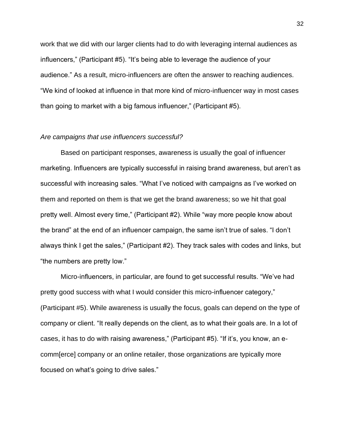work that we did with our larger clients had to do with leveraging internal audiences as influencers," (Participant #5). "It's being able to leverage the audience of your audience." As a result, micro-influencers are often the answer to reaching audiences. "We kind of looked at influence in that more kind of micro-influencer way in most cases than going to market with a big famous influencer," (Participant #5).

#### *Are campaigns that use influencers successful?*

Based on participant responses, awareness is usually the goal of influencer marketing. Influencers are typically successful in raising brand awareness, but aren't as successful with increasing sales. "What I've noticed with campaigns as I've worked on them and reported on them is that we get the brand awareness; so we hit that goal pretty well. Almost every time," (Participant #2). While "way more people know about the brand" at the end of an influencer campaign, the same isn't true of sales. "I don't always think I get the sales," (Participant #2). They track sales with codes and links, but "the numbers are pretty low."

Micro-influencers, in particular, are found to get successful results. "We've had pretty good success with what I would consider this micro-influencer category," (Participant #5). While awareness is usually the focus, goals can depend on the type of company or client. "It really depends on the client, as to what their goals are. In a lot of cases, it has to do with raising awareness," (Participant #5). "If it's, you know, an ecomm[erce] company or an online retailer, those organizations are typically more focused on what's going to drive sales."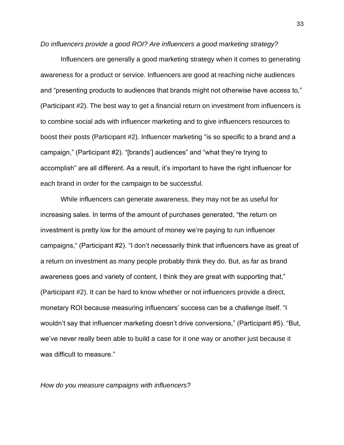*Do influencers provide a good ROI? Are influencers a good marketing strategy?*

Influencers are generally a good marketing strategy when it comes to generating awareness for a product or service. Influencers are good at reaching niche audiences and "presenting products to audiences that brands might not otherwise have access to," (Participant #2). The best way to get a financial return on investment from influencers is to combine social ads with influencer marketing and to give influencers resources to boost their posts (Participant #2). Influencer marketing "is so specific to a brand and a campaign," (Participant #2). "[brands'] audiences" and "what they're trying to accomplish" are all different. As a result, it's important to have the right influencer for each brand in order for the campaign to be successful.

While influencers can generate awareness, they may not be as useful for increasing sales. In terms of the amount of purchases generated, "the return on investment is pretty low for the amount of money we're paying to run influencer campaigns," (Participant #2). "I don't necessarily think that influencers have as great of a return on investment as many people probably think they do. But, as far as brand awareness goes and variety of content, I think they are great with supporting that," (Participant #2). It can be hard to know whether or not influencers provide a direct, monetary ROI because measuring influencers' success can be a challenge itself. "I wouldn't say that influencer marketing doesn't drive conversions," (Participant #5). "But, we've never really been able to build a case for it one way or another just because it was difficult to measure."

*How do you measure campaigns with influencers?*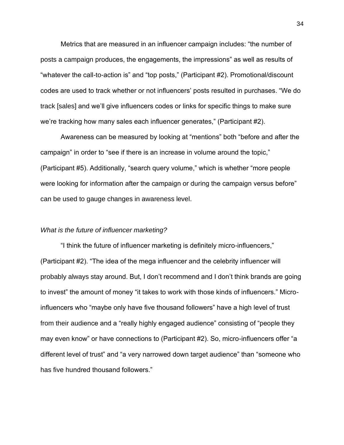Metrics that are measured in an influencer campaign includes: "the number of posts a campaign produces, the engagements, the impressions" as well as results of "whatever the call-to-action is" and "top posts," (Participant #2). Promotional/discount codes are used to track whether or not influencers' posts resulted in purchases. "We do track [sales] and we'll give influencers codes or links for specific things to make sure we're tracking how many sales each influencer generates," (Participant #2).

Awareness can be measured by looking at "mentions" both "before and after the campaign" in order to "see if there is an increase in volume around the topic," (Participant #5). Additionally, "search query volume," which is whether "more people were looking for information after the campaign or during the campaign versus before" can be used to gauge changes in awareness level.

#### *What is the future of influencer marketing?*

"I think the future of influencer marketing is definitely micro-influencers," (Participant #2). "The idea of the mega influencer and the celebrity influencer will probably always stay around. But, I don't recommend and I don't think brands are going to invest" the amount of money "it takes to work with those kinds of influencers." Microinfluencers who "maybe only have five thousand followers" have a high level of trust from their audience and a "really highly engaged audience" consisting of "people they may even know" or have connections to (Participant #2). So, micro-influencers offer "a different level of trust" and "a very narrowed down target audience" than "someone who has five hundred thousand followers."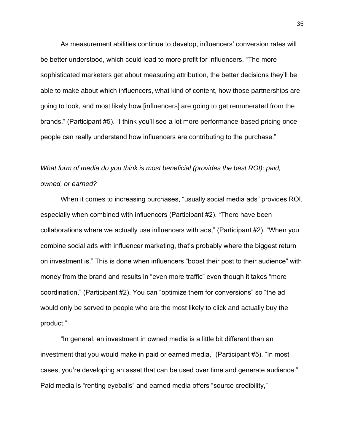As measurement abilities continue to develop, influencers' conversion rates will be better understood, which could lead to more profit for influencers. "The more sophisticated marketers get about measuring attribution, the better decisions they'll be able to make about which influencers, what kind of content, how those partnerships are going to look, and most likely how [influencers] are going to get remunerated from the brands," (Participant #5). "I think you'll see a lot more performance-based pricing once people can really understand how influencers are contributing to the purchase."

# *What form of media do you think is most beneficial (provides the best ROI): paid, owned, or earned?*

When it comes to increasing purchases, "usually social media ads" provides ROI, especially when combined with influencers (Participant #2). "There have been collaborations where we actually use influencers with ads," (Participant #2). "When you combine social ads with influencer marketing, that's probably where the biggest return on investment is." This is done when influencers "boost their post to their audience" with money from the brand and results in "even more traffic" even though it takes "more coordination," (Participant #2). You can "optimize them for conversions" so "the ad would only be served to people who are the most likely to click and actually buy the product."

"In general, an investment in owned media is a little bit different than an investment that you would make in paid or earned media," (Participant #5). "In most cases, you're developing an asset that can be used over time and generate audience." Paid media is "renting eyeballs" and earned media offers "source credibility,"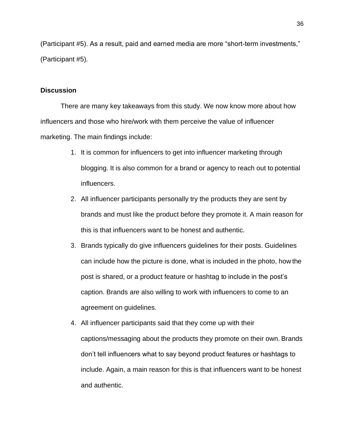(Participant #5). As a result, paid and earned media are more "short-term investments," (Participant #5).

#### **Discussion**

There are many key takeaways from this study. We now know more about how influencers and those who hire/work with them perceive the value of influencer marketing. The main findings include:

- 1. It is common for influencers to get into influencer marketing through blogging. It is also common for a brand or agency to reach out to potential influencers.
- 2. All influencer participants personally try the products they are sent by brands and must like the product before they promote it. A main reason for this is that influencers want to be honest and authentic.
- 3. Brands typically do give influencers guidelines for their posts. Guidelines can include how the picture is done, what is included in the photo, how the post is shared, or a product feature or hashtag to include in the post's caption. Brands are also willing to work with influencers to come to an agreement on guidelines.
- 4. All influencer participants said that they come up with their captions/messaging about the products they promote on their own. Brands don't tell influencers what to say beyond product features or hashtags to include. Again, a main reason for this is that influencers want to be honest and authentic.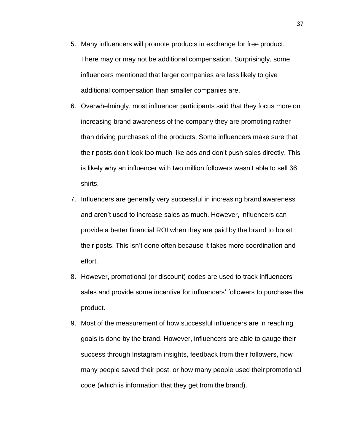- 5. Many influencers will promote products in exchange for free product. There may or may not be additional compensation. Surprisingly, some influencers mentioned that larger companies are less likely to give additional compensation than smaller companies are.
- 6. Overwhelmingly, most influencer participants said that they focus more on increasing brand awareness of the company they are promoting rather than driving purchases of the products. Some influencers make sure that their posts don't look too much like ads and don't push sales directly. This is likely why an influencer with two million followers wasn't able to sell 36 shirts.
- 7. Influencers are generally very successful in increasing brand awareness and aren't used to increase sales as much. However, influencers can provide a better financial ROI when they are paid by the brand to boost their posts. This isn't done often because it takes more coordination and effort.
- 8. However, promotional (or discount) codes are used to track influencers' sales and provide some incentive for influencers' followers to purchase the product.
- 9. Most of the measurement of how successful influencers are in reaching goals is done by the brand. However, influencers are able to gauge their success through Instagram insights, feedback from their followers, how many people saved their post, or how many people used their promotional code (which is information that they get from the brand).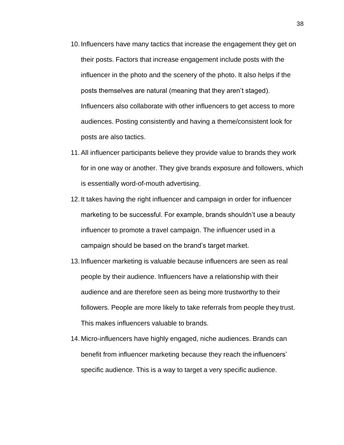- 10. Influencers have many tactics that increase the engagement they get on their posts. Factors that increase engagement include posts with the influencer in the photo and the scenery of the photo. It also helps if the posts themselves are natural (meaning that they aren't staged). Influencers also collaborate with other influencers to get access to more audiences. Posting consistently and having a theme/consistent look for posts are also tactics.
- 11. All influencer participants believe they provide value to brands they work for in one way or another. They give brands exposure and followers, which is essentially word-of-mouth advertising.
- 12. It takes having the right influencer and campaign in order for influencer marketing to be successful. For example, brands shouldn't use a beauty influencer to promote a travel campaign. The influencer used in a campaign should be based on the brand's target market.
- 13. Influencer marketing is valuable because influencers are seen as real people by their audience. Influencers have a relationship with their audience and are therefore seen as being more trustworthy to their followers. People are more likely to take referrals from people they trust. This makes influencers valuable to brands.
- 14. Micro-influencers have highly engaged, niche audiences. Brands can benefit from influencer marketing because they reach the influencers' specific audience. This is a way to target a very specific audience.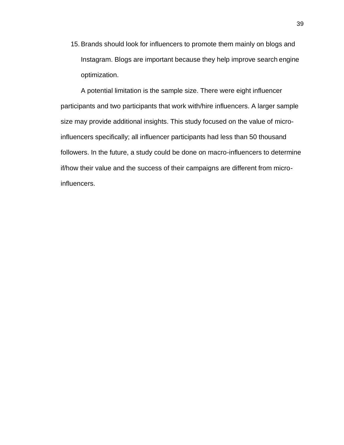15. Brands should look for influencers to promote them mainly on blogs and Instagram. Blogs are important because they help improve search engine optimization.

A potential limitation is the sample size. There were eight influencer participants and two participants that work with/hire influencers. A larger sample size may provide additional insights. This study focused on the value of microinfluencers specifically; all influencer participants had less than 50 thousand followers. In the future, a study could be done on macro-influencers to determine if/how their value and the success of their campaigns are different from microinfluencers.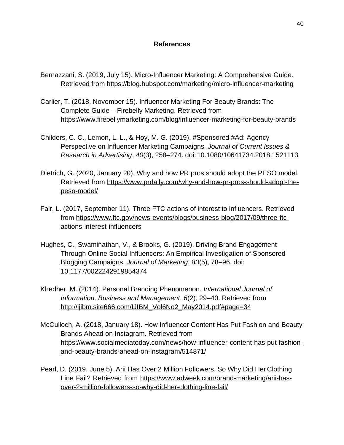### **References**

- Bernazzani, S. (2019, July 15). Micro-Influencer Marketing: A Comprehensive Guide. Retrieved from<https://blog.hubspot.com/marketing/micro-influencer-marketing>
- Carlier, T. (2018, November 15). Influencer Marketing For Beauty Brands: The Complete Guide – Firebelly Marketing. Retrieved from <https://www.firebellymarketing.com/blog/influencer-marketing-for-beauty-brands>
- Childers, C. C., Lemon, L. L., & Hoy, M. G. (2019). #Sponsored #Ad: Agency Perspective on Influencer Marketing Campaigns. *Journal of Current Issues & Research in Advertising*, *40*(3), 258–274. doi: 10.1080/10641734.2018.1521113
- Dietrich, G. (2020, January 20). Why and how PR pros should adopt the PESO model. Retrieved from [https://www.prdaily.com/why-and-how-pr-pros-should-adopt-the](https://www.prdaily.com/why-and-how-pr-pros-should-adopt-the-peso-model/)[peso-model/](https://www.prdaily.com/why-and-how-pr-pros-should-adopt-the-peso-model/)
- Fair, L. (2017, September 11). Three FTC actions of interest to influencers. Retrieved from [https://www.ftc.gov/news-events/blogs/business-blog/2017/09/three-ftc](https://www.ftc.gov/news-events/blogs/business-blog/2017/09/three-ftc-actions-interest-influencers)[actions-interest-influencers](https://www.ftc.gov/news-events/blogs/business-blog/2017/09/three-ftc-actions-interest-influencers)
- Hughes, C., Swaminathan, V., & Brooks, G. (2019). Driving Brand Engagement Through Online Social Influencers: An Empirical Investigation of Sponsored Blogging Campaigns. *Journal of Marketing*, *83*(5), 78–96. doi: 10.1177/0022242919854374
- Khedher, M. (2014). Personal Branding Phenomenon. *International Journal of Information, Business and Management*, *6*(2), 29–40. Retrieved from [http://ijibm.site666.com/IJIBM\\_Vol6No2\\_May2014.pdf#page=34](http://ijibm.site666.com/IJIBM_Vol6No2_May2014.pdf#page%3D34)
- McCulloch, A. (2018, January 18). How Influencer Content Has Put Fashion and Beauty Brands Ahead on Instagram. Retrieved from [https://www.socialmediatoday.com/news/how-influencer-content-has-put-fashion](https://www.socialmediatoday.com/news/how-influencer-content-has-put-fashion-and-beauty-brands-ahead-on-instagram/514871/)[and-beauty-brands-ahead-on-instagram/514871/](https://www.socialmediatoday.com/news/how-influencer-content-has-put-fashion-and-beauty-brands-ahead-on-instagram/514871/)
- Pearl, D. (2019, June 5). Arii Has Over 2 Million Followers. So Why Did Her Clothing Line Fail? Retrieved from [https://www.adweek.com/brand-marketing/arii-has](https://www.adweek.com/brand-marketing/arii-has-over-2-million-followers-so-why-did-her-clothing-line-fail/)[over-2-million-followers-so-why-did-her-clothing-line-fail/](https://www.adweek.com/brand-marketing/arii-has-over-2-million-followers-so-why-did-her-clothing-line-fail/)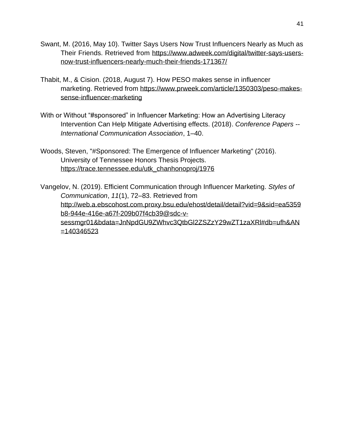- Swant, M. (2016, May 10). Twitter Says Users Now Trust Influencers Nearly as Much as Their Friends. Retrieved from [https://www.adweek.com/digital/twitter-says-users](https://www.adweek.com/digital/twitter-says-users-now-trust-influencers-nearly-much-their-friends-171367/)[now-trust-influencers-nearly-much-their-friends-171367/](https://www.adweek.com/digital/twitter-says-users-now-trust-influencers-nearly-much-their-friends-171367/)
- Thabit, M., & Cision. (2018, August 7). How PESO makes sense in influencer marketing. Retrieved from [https://www.prweek.com/article/1350303/peso-makes](https://www.prweek.com/article/1350303/peso-makes-sense-influencer-marketing)[sense-influencer-marketing](https://www.prweek.com/article/1350303/peso-makes-sense-influencer-marketing)
- With or Without "#sponsored" in Influencer Marketing: How an Advertising Literacy Intervention Can Help Mitigate Advertising effects. (2018). *Conference Papers -- International Communication Association*, 1–40.
- Woods, Steven, "#Sponsored: The Emergence of Influencer Marketing" (2016). University of Tennessee Honors Thesis Projects. [https://trace.tennessee.edu/utk\\_chanhonoproj/1976](https://trace.tennessee.edu/utk_chanhonoproj/1976)

Vangelov, N. (2019). Efficient Communication through Influencer Marketing. *Styles of Communication*, *11*(1), 72–83. Retrieved from [http://web.a.ebscohost.com.proxy.bsu.edu/ehost/detail/detail?vid=9&sid=ea5359](http://web.a.ebscohost.com.proxy.bsu.edu/ehost/detail/detail?vid=9&sid=ea5359b8-944e-416e-a67f-209b07f4cb39%40sdc-v-sessmgr01&bdata=JnNpdGU9ZWhvc3QtbGl2ZSZzY29wZT1zaXRl%23db%3Dufh&AN=140346523) [b8-944e-416e-a67f-209b07f4cb39@sdc-v](http://web.a.ebscohost.com.proxy.bsu.edu/ehost/detail/detail?vid=9&sid=ea5359b8-944e-416e-a67f-209b07f4cb39%40sdc-v-sessmgr01&bdata=JnNpdGU9ZWhvc3QtbGl2ZSZzY29wZT1zaXRl%23db%3Dufh&AN=140346523)[sessmgr01&bdata=JnNpdGU9ZWhvc3QtbGl2ZSZzY29wZT1zaXRl#db=ufh&AN](http://web.a.ebscohost.com.proxy.bsu.edu/ehost/detail/detail?vid=9&sid=ea5359b8-944e-416e-a67f-209b07f4cb39%40sdc-v-sessmgr01&bdata=JnNpdGU9ZWhvc3QtbGl2ZSZzY29wZT1zaXRl%23db%3Dufh&AN=140346523) [=140346523](http://web.a.ebscohost.com.proxy.bsu.edu/ehost/detail/detail?vid=9&sid=ea5359b8-944e-416e-a67f-209b07f4cb39%40sdc-v-sessmgr01&bdata=JnNpdGU9ZWhvc3QtbGl2ZSZzY29wZT1zaXRl%23db%3Dufh&AN=140346523)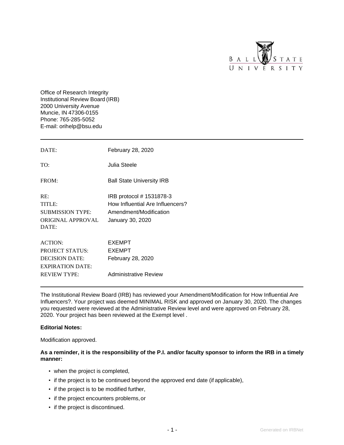

Office of Research Integrity Institutional Review Board(IRB) 2000 University Avenue Muncie, IN 47306-0155 Phone: 765-285-5052 E-mail: [orihelp@bsu.edu](mailto:orihelp@bsu.edu)

| DATE:                                                                                                               | February 28, 2020                                                                                          |
|---------------------------------------------------------------------------------------------------------------------|------------------------------------------------------------------------------------------------------------|
| TO:                                                                                                                 | Julia Steele                                                                                               |
| FROM:                                                                                                               | <b>Ball State University IRB</b>                                                                           |
| RE:<br>TITLE:<br><b>SUBMISSION TYPE:</b><br>ORIGINAL APPROVAL<br>DATE:                                              | IRB protocol # 1531878-3<br>How Influential Are Influencers?<br>Amendment/Modification<br>January 30, 2020 |
| <b>ACTION:</b><br><b>PROJECT STATUS:</b><br><b>DECISION DATE:</b><br><b>EXPIRATION DATE:</b><br><b>REVIEW TYPE:</b> | <b>EXEMPT</b><br><b>EXEMPT</b><br>February 28, 2020<br><b>Administrative Review</b>                        |

The Institutional Review Board (IRB) has reviewed your Amendment/Modification for How Influential Are Influencers?. Your project was deemed MINIMAL RISK and approved on January 30, 2020. The changes you requested were reviewed at the Administrative Review level and were approved on February 28, 2020. Your project has been reviewed at the Exempt level .

#### **Editorial Notes:**

Modification approved.

#### **As a reminder, it is the responsibility of the P.I. and/or faculty sponsor to inform the IRB in a timely manner:**

- when the project is completed,
- if the project is to be continued beyond the approved end date (if applicable),
- if the project is to be modified further,
- if the project encounters problems,or
- if the project is discontinued.